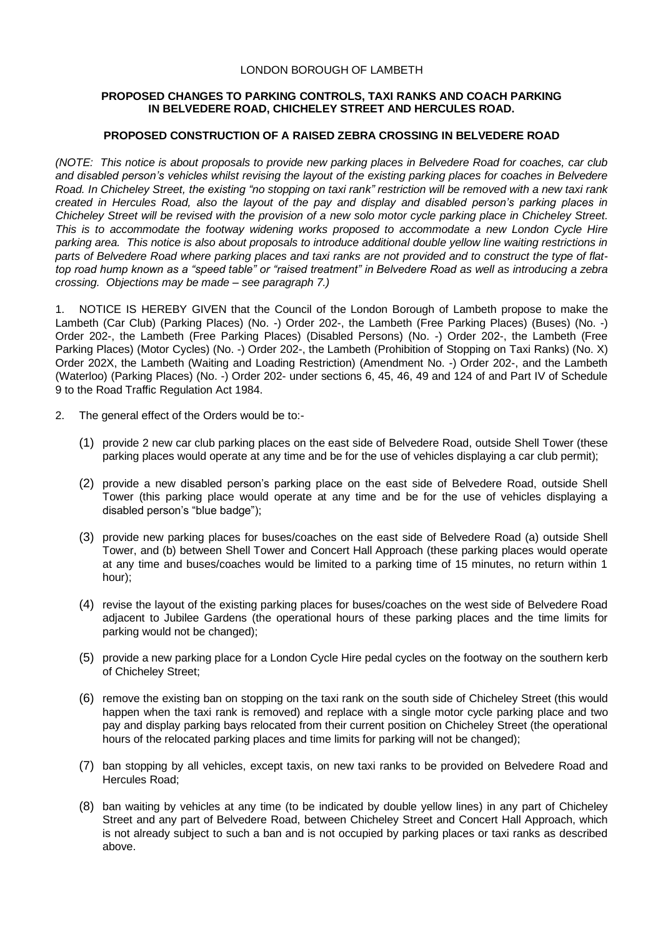## LONDON BOROUGH OF LAMBETH

## **PROPOSED CHANGES TO PARKING CONTROLS, TAXI RANKS AND COACH PARKING IN BELVEDERE ROAD, CHICHELEY STREET AND HERCULES ROAD.**

## **PROPOSED CONSTRUCTION OF A RAISED ZEBRA CROSSING IN BELVEDERE ROAD**

*(NOTE: This notice is about proposals to provide new parking places in Belvedere Road for coaches, car club and disabled person's vehicles whilst revising the layout of the existing parking places for coaches in Belvedere Road. In Chicheley Street, the existing "no stopping on taxi rank" restriction will be removed with a new taxi rank created in Hercules Road, also the layout of the pay and display and disabled person's parking places in Chicheley Street will be revised with the provision of a new solo motor cycle parking place in Chicheley Street. This is to accommodate the footway widening works proposed to accommodate a new London Cycle Hire parking area. This notice is also about proposals to introduce additional double yellow line waiting restrictions in parts of Belvedere Road where parking places and taxi ranks are not provided and to construct the type of flattop road hump known as a "speed table" or "raised treatment" in Belvedere Road as well as introducing a zebra crossing. Objections may be made – see paragraph 7.)*

1. NOTICE IS HEREBY GIVEN that the Council of the London Borough of Lambeth propose to make the Lambeth (Car Club) (Parking Places) (No. -) Order 202-, the Lambeth (Free Parking Places) (Buses) (No. -) Order 202-, the Lambeth (Free Parking Places) (Disabled Persons) (No. -) Order 202-, the Lambeth (Free Parking Places) (Motor Cycles) (No. -) Order 202-, the Lambeth (Prohibition of Stopping on Taxi Ranks) (No. X) Order 202X, the Lambeth (Waiting and Loading Restriction) (Amendment No. -) Order 202-, and the Lambeth (Waterloo) (Parking Places) (No. -) Order 202- under sections 6, 45, 46, 49 and 124 of and Part IV of Schedule 9 to the Road Traffic Regulation Act 1984.

- 2. The general effect of the Orders would be to:-
	- (1) provide 2 new car club parking places on the east side of Belvedere Road, outside Shell Tower (these parking places would operate at any time and be for the use of vehicles displaying a car club permit);
	- (2) provide a new disabled person's parking place on the east side of Belvedere Road, outside Shell Tower (this parking place would operate at any time and be for the use of vehicles displaying a disabled person's "blue badge");
	- (3) provide new parking places for buses/coaches on the east side of Belvedere Road (a) outside Shell Tower, and (b) between Shell Tower and Concert Hall Approach (these parking places would operate at any time and buses/coaches would be limited to a parking time of 15 minutes, no return within 1 hour);
	- (4) revise the layout of the existing parking places for buses/coaches on the west side of Belvedere Road adjacent to Jubilee Gardens (the operational hours of these parking places and the time limits for parking would not be changed);
	- (5) provide a new parking place for a London Cycle Hire pedal cycles on the footway on the southern kerb of Chicheley Street;
	- (6) remove the existing ban on stopping on the taxi rank on the south side of Chicheley Street (this would happen when the taxi rank is removed) and replace with a single motor cycle parking place and two pay and display parking bays relocated from their current position on Chicheley Street (the operational hours of the relocated parking places and time limits for parking will not be changed);
	- (7) ban stopping by all vehicles, except taxis, on new taxi ranks to be provided on Belvedere Road and Hercules Road;
	- (8) ban waiting by vehicles at any time (to be indicated by double yellow lines) in any part of Chicheley Street and any part of Belvedere Road, between Chicheley Street and Concert Hall Approach, which is not already subject to such a ban and is not occupied by parking places or taxi ranks as described above.